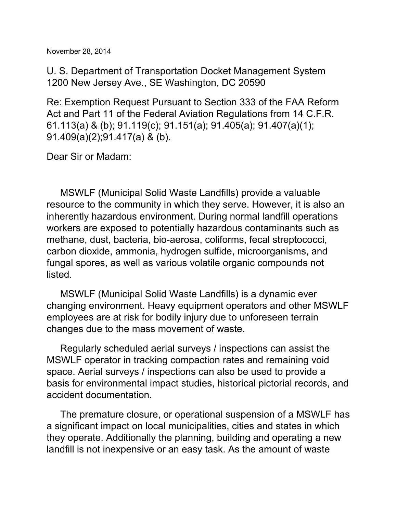U. S. Department of Transportation Docket Management System 1200 New Jersey Ave., SE Washington, DC 20590

Re: Exemption Request Pursuant to Section 333 of the FAA Reform Act and Part 11 of the Federal Aviation Regulations from 14 C.F.R. 61.113(a) & (b); 91.119(c); 91.151(a); 91.405(a); 91.407(a)(1); 91.409(a)(2);91.417(a) & (b).

Dear Sir or Madam:

MSWLF (Municipal Solid Waste Landfills) provide a valuable resource to the community in which they serve. However, it is also an inherently hazardous environment. During normal landfill operations workers are exposed to potentially hazardous contaminants such as methane, dust, bacteria, bio-aerosa, coliforms, fecal streptococci, carbon dioxide, ammonia, hydrogen sulfide, microorganisms, and fungal spores, as well as various volatile organic compounds not listed.

MSWLF (Municipal Solid Waste Landfills) is a dynamic ever changing environment. Heavy equipment operators and other MSWLF employees are at risk for bodily injury due to unforeseen terrain changes due to the mass movement of waste.

Regularly scheduled aerial surveys / inspections can assist the MSWLF operator in tracking compaction rates and remaining void space. Aerial surveys / inspections can also be used to provide a basis for environmental impact studies, historical pictorial records, and accident documentation.

The premature closure, or operational suspension of a MSWLF has a significant impact on local municipalities, cities and states in which they operate. Additionally the planning, building and operating a new landfill is not inexpensive or an easy task. As the amount of waste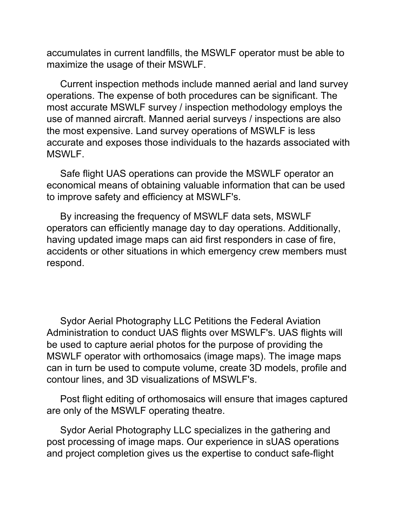accumulates in current landfills, the MSWLF operator must be able to maximize the usage of their MSWLF.

Current inspection methods include manned aerial and land survey operations. The expense of both procedures can be significant. The most accurate MSWLF survey / inspection methodology employs the use of manned aircraft. Manned aerial surveys / inspections are also the most expensive. Land survey operations of MSWLF is less accurate and exposes those individuals to the hazards associated with MSWLF.

Safe flight UAS operations can provide the MSWLF operator an economical means of obtaining valuable information that can be used to improve safety and efficiency at MSWLF's.

By increasing the frequency of MSWLF data sets, MSWLF operators can efficiently manage day to day operations. Additionally, having updated image maps can aid first responders in case of fire, accidents or other situations in which emergency crew members must respond.

Sydor Aerial Photography LLC Petitions the Federal Aviation Administration to conduct UAS flights over MSWLF's. UAS flights will be used to capture aerial photos for the purpose of providing the MSWLF operator with orthomosaics (image maps). The image maps can in turn be used to compute volume, create 3D models, profile and contour lines, and 3D visualizations of MSWLF's.

Post flight editing of orthomosaics will ensure that images captured are only of the MSWLF operating theatre.

Sydor Aerial Photography LLC specializes in the gathering and post processing of image maps. Our experience in sUAS operations and project completion gives us the expertise to conduct safe-flight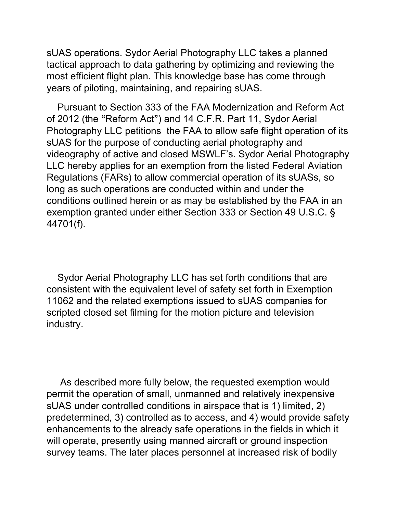sUAS operations. Sydor Aerial Photography LLC takes a planned tactical approach to data gathering by optimizing and reviewing the most efficient flight plan. This knowledge base has come through years of piloting, maintaining, and repairing sUAS.

Pursuant to Section 333 of the FAA Modernization and Reform Act of 2012 (the "Reform Act") and 14 C.F.R. Part 11, Sydor Aerial Photography LLC petitions the FAA to allow safe flight operation of its sUAS for the purpose of conducting aerial photography and videography of active and closed MSWLF's. Sydor Aerial Photography LLC hereby applies for an exemption from the listed Federal Aviation Regulations (FARs) to allow commercial operation of its sUASs, so long as such operations are conducted within and under the conditions outlined herein or as may be established by the FAA in an exemption granted under either Section 333 or Section 49 U.S.C. § 44701(f).

Sydor Aerial Photography LLC has set forth conditions that are consistent with the equivalent level of safety set forth in Exemption 11062 and the related exemptions issued to sUAS companies for scripted closed set filming for the motion picture and television industry.

As described more fully below, the requested exemption would permit the operation of small, unmanned and relatively inexpensive sUAS under controlled conditions in airspace that is 1) limited, 2) predetermined, 3) controlled as to access, and 4) would provide safety enhancements to the already safe operations in the fields in which it will operate, presently using manned aircraft or ground inspection survey teams. The later places personnel at increased risk of bodily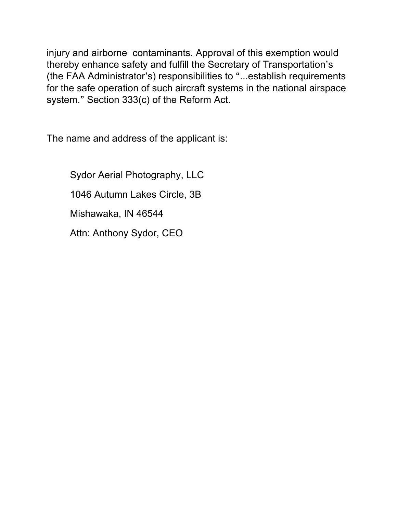injury and airborne contaminants. Approval of this exemption would thereby enhance safety and fulfill the Secretary of Transportation's (the FAA Administrator's) responsibilities to "...establish requirements for the safe operation of such aircraft systems in the national airspace system." Section 333(c) of the Reform Act.

The name and address of the applicant is:

Sydor Aerial Photography, LLC 1046 Autumn Lakes Circle, 3B Mishawaka, IN 46544 Attn: Anthony Sydor, CEO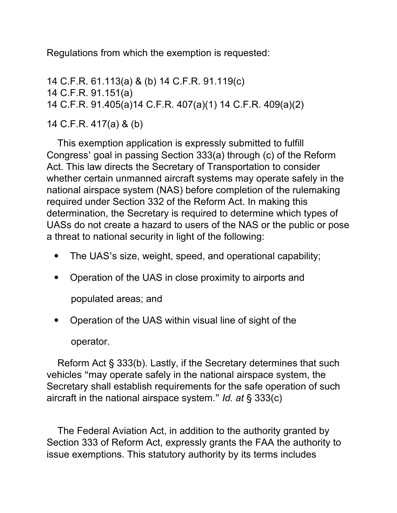Regulations from which the exemption is requested:

 C.F.R. 61.113(a) & (b) 14 C.F.R. 91.119(c) C.F.R. 91.151(a) C.F.R. 91.405(a)14 C.F.R. 407(a)(1) 14 C.F.R. 409(a)(2) C.F.R. 417(a) & (b)

This exemption application is expressly submitted to fulfill Congress' goal in passing Section 333(a) through (c) of the Reform Act. This law directs the Secretary of Transportation to consider whether certain unmanned aircraft systems may operate safely in the national airspace system (NAS) before completion of the rulemaking required under Section 332 of the Reform Act. In making this determination, the Secretary is required to determine which types of UASs do not create a hazard to users of the NAS or the public or pose a threat to national security in light of the following:

- The UAS's size, weight, speed, and operational capability;
- Operation of the UAS in close proximity to airports and

populated areas; and

• Operation of the UAS within visual line of sight of the

operator.

Reform Act § 333(b). Lastly, if the Secretary determines that such vehicles "may operate safely in the national airspace system, the Secretary shall establish requirements for the safe operation of such aircraft in the national airspace system." *Id. at* § 333(c)

The Federal Aviation Act, in addition to the authority granted by Section 333 of Reform Act, expressly grants the FAA the authority to issue exemptions. This statutory authority by its terms includes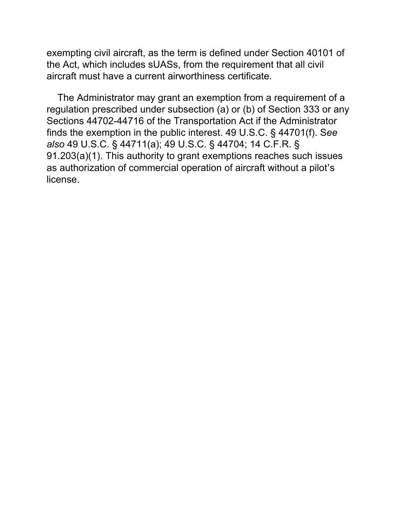exempting civil aircraft, as the term is defined under Section 40101 of the Act, which includes sUASs, from the requirement that all civil aircraft must have a current airworthiness certificate.

The Administrator may grant an exemption from a requirement of a regulation prescribed under subsection (a) or (b) of Section 333 or any Sections 44702-44716 of the Transportation Act if the Administrator finds the exemption in the public interest. 49 U.S.C. § 44701(f). S*ee also* 49 U.S.C. § 44711(a); 49 U.S.C. § 44704; 14 C.F.R. § 91.203(a)(1). This authority to grant exemptions reaches such issues as authorization of commercial operation of aircraft without a pilot's license.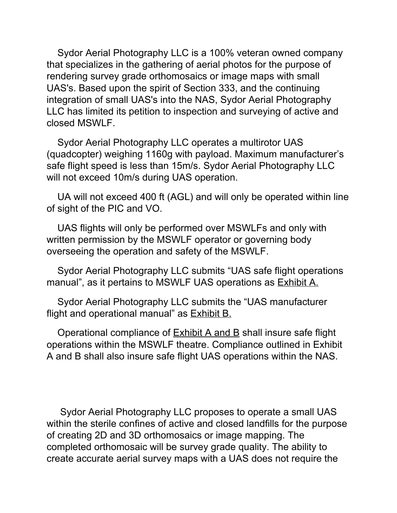Sydor Aerial Photography LLC is a 100% veteran owned company that specializes in the gathering of aerial photos for the purpose of rendering survey grade orthomosaics or image maps with small UAS's. Based upon the spirit of Section 333, and the continuing integration of small UAS's into the NAS, Sydor Aerial Photography LLC has limited its petition to inspection and surveying of active and closed MSWLF.

Sydor Aerial Photography LLC operates a multirotor UAS (quadcopter) weighing 1160g with payload. Maximum manufacturer's safe flight speed is less than 15m/s. Sydor Aerial Photography LLC will not exceed 10m/s during UAS operation.

UA will not exceed 400 ft (AGL) and will only be operated within line of sight of the PIC and VO.

UAS flights will only be performed over MSWLFs and only with written permission by the MSWLF operator or governing body overseeing the operation and safety of the MSWLF.

Sydor Aerial Photography LLC submits "UAS safe flight operations manual", as it pertains to MSWLF UAS operations as Exhibit A.

Sydor Aerial Photography LLC submits the "UAS manufacturer flight and operational manual" as Exhibit B.

Operational compliance of **Exhibit A and B** shall insure safe flight operations within the MSWLF theatre. Compliance outlined in Exhibit A and B shall also insure safe flight UAS operations within the NAS.

Sydor Aerial Photography LLC proposes to operate a small UAS within the sterile confines of active and closed landfills for the purpose of creating 2D and 3D orthomosaics or image mapping. The completed orthomosaic will be survey grade quality. The ability to create accurate aerial survey maps with a UAS does not require the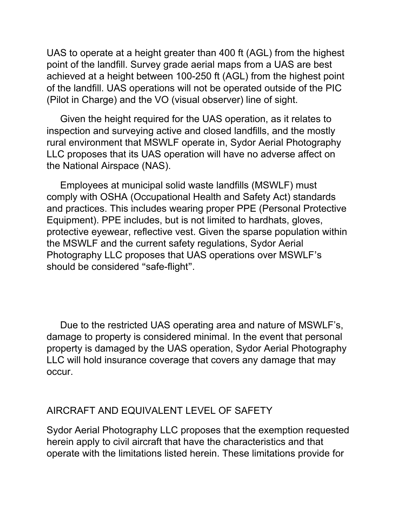UAS to operate at a height greater than 400 ft (AGL) from the highest point of the landfill. Survey grade aerial maps from a UAS are best achieved at a height between 100-250 ft (AGL) from the highest point of the landfill. UAS operations will not be operated outside of the PIC (Pilot in Charge) and the VO (visual observer) line of sight.

Given the height required for the UAS operation, as it relates to inspection and surveying active and closed landfills, and the mostly rural environment that MSWLF operate in, Sydor Aerial Photography LLC proposes that its UAS operation will have no adverse affect on the National Airspace (NAS).

Employees at municipal solid waste landfills (MSWLF) must comply with OSHA (Occupational Health and Safety Act) standards and practices. This includes wearing proper PPE (Personal Protective Equipment). PPE includes, but is not limited to hardhats, gloves, protective eyewear, reflective vest. Given the sparse population within the MSWLF and the current safety regulations, Sydor Aerial Photography LLC proposes that UAS operations over MSWLF's should be considered "safe-flight".

Due to the restricted UAS operating area and nature of MSWLF's, damage to property is considered minimal. In the event that personal property is damaged by the UAS operation, Sydor Aerial Photography LLC will hold insurance coverage that covers any damage that may occur.

## AIRCRAFT AND EQUIVALENT LEVEL OF SAFETY

Sydor Aerial Photography LLC proposes that the exemption requested herein apply to civil aircraft that have the characteristics and that operate with the limitations listed herein. These limitations provide for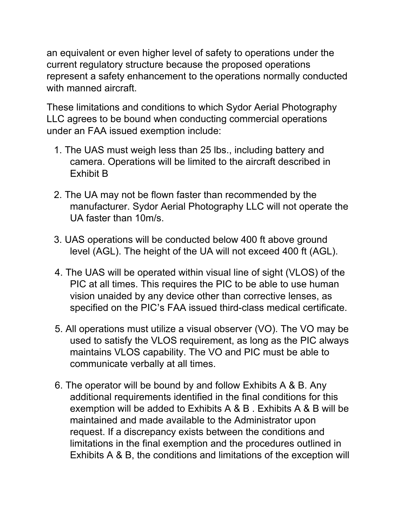an equivalent or even higher level of safety to operations under the current regulatory structure because the proposed operations represent a safety enhancement to the operations normally conducted with manned aircraft.

These limitations and conditions to which Sydor Aerial Photography LLC agrees to be bound when conducting commercial operations under an FAA issued exemption include:

- 1. The UAS must weigh less than 25 lbs., including battery and camera. Operations will be limited to the aircraft described in Exhibit B
- 2. The UA may not be flown faster than recommended by the manufacturer. Sydor Aerial Photography LLC will not operate the UA faster than 10m/s.
- 3. UAS operations will be conducted below 400 ft above ground level (AGL). The height of the UA will not exceed 400 ft (AGL).
- 4. The UAS will be operated within visual line of sight (VLOS) of the PIC at all times. This requires the PIC to be able to use human vision unaided by any device other than corrective lenses, as specified on the PIC's FAA issued third-class medical certificate.
- 5. All operations must utilize a visual observer (VO). The VO may be used to satisfy the VLOS requirement, as long as the PIC always maintains VLOS capability. The VO and PIC must be able to communicate verbally at all times.
- 6. The operator will be bound by and follow Exhibits A & B. Any additional requirements identified in the final conditions for this exemption will be added to Exhibits A & B . Exhibits A & B will be maintained and made available to the Administrator upon request. If a discrepancy exists between the conditions and limitations in the final exemption and the procedures outlined in Exhibits A & B, the conditions and limitations of the exception will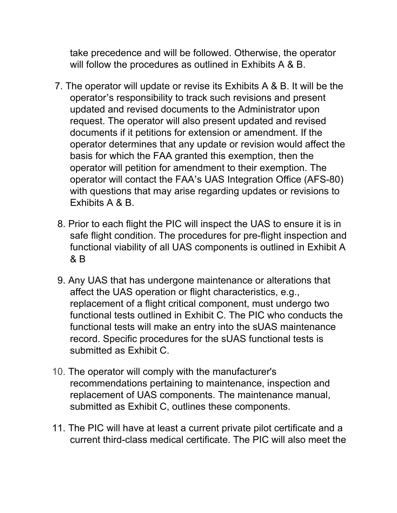take precedence and will be followed. Otherwise, the operator will follow the procedures as outlined in Exhibits A & B.

- 7. The operator will update or revise its Exhibits A & B. It will be the operator's responsibility to track such revisions and present updated and revised documents to the Administrator upon request. The operator will also present updated and revised documents if it petitions for extension or amendment. If the operator determines that any update or revision would affect the basis for which the FAA granted this exemption, then the operator will petition for amendment to their exemption. The operator will contact the FAA's UAS Integration Office (AFS-80) with questions that may arise regarding updates or revisions to Exhibits A & B.
- 8. Prior to each flight the PIC will inspect the UAS to ensure it is in safe flight condition. The procedures for pre-flight inspection and functional viability of all UAS components is outlined in Exhibit A & B
- 9. Any UAS that has undergone maintenance or alterations that affect the UAS operation or flight characteristics, e.g., replacement of a flight critical component, must undergo two functional tests outlined in Exhibit C. The PIC who conducts the functional tests will make an entry into the sUAS maintenance record. Specific procedures for the sUAS functional tests is submitted as Exhibit C.
- 10. The operator will comply with the manufacturer's recommendations pertaining to maintenance, inspection and replacement of UAS components. The maintenance manual, submitted as Exhibit C, outlines these components.
- 11. The PIC will have at least a current private pilot certificate and a current third-class medical certificate. The PIC will also meet the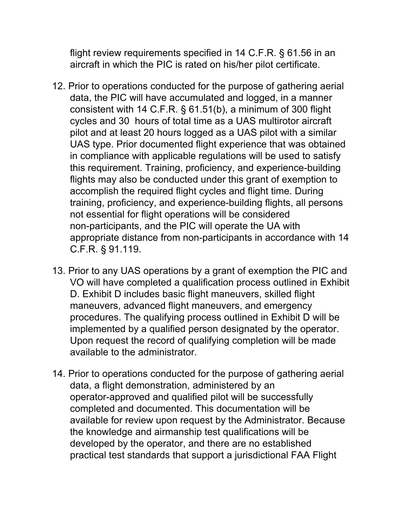flight review requirements specified in 14 C.F.R. § 61.56 in an aircraft in which the PIC is rated on his/her pilot certificate.

- 12. Prior to operations conducted for the purpose of gathering aerial data, the PIC will have accumulated and logged, in a manner consistent with 14 C.F.R. § 61.51(b), a minimum of 300 flight cycles and 30 hours of total time as a UAS multirotor aircraft pilot and at least 20 hours logged as a UAS pilot with a similar UAS type. Prior documented flight experience that was obtained in compliance with applicable regulations will be used to satisfy this requirement. Training, proficiency, and experience-building flights may also be conducted under this grant of exemption to accomplish the required flight cycles and flight time. During training, proficiency, and experience-building flights, all persons not essential for flight operations will be considered non-participants, and the PIC will operate the UA with appropriate distance from non-participants in accordance with 14 C.F.R. § 91.119.
- 13. Prior to any UAS operations by a grant of exemption the PIC and VO will have completed a qualification process outlined in Exhibit D. Exhibit D includes basic flight maneuvers, skilled flight maneuvers, advanced flight maneuvers, and emergency procedures. The qualifying process outlined in Exhibit D will be implemented by a qualified person designated by the operator. Upon request the record of qualifying completion will be made available to the administrator.
- 14. Prior to operations conducted for the purpose of gathering aerial data, a flight demonstration, administered by an operator-approved and qualified pilot will be successfully completed and documented. This documentation will be available for review upon request by the Administrator. Because the knowledge and airmanship test qualifications will be developed by the operator, and there are no established practical test standards that support a jurisdictional FAA Flight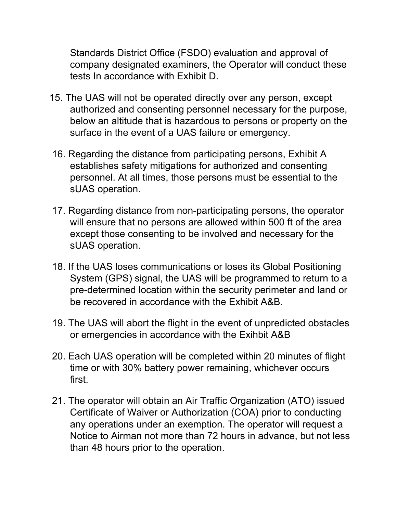Standards District Office (FSDO) evaluation and approval of company designated examiners, the Operator will conduct these tests In accordance with Exhibit D.

- 15. The UAS will not be operated directly over any person, except authorized and consenting personnel necessary for the purpose, below an altitude that is hazardous to persons or property on the surface in the event of a UAS failure or emergency.
- 16. Regarding the distance from participating persons, Exhibit A establishes safety mitigations for authorized and consenting personnel. At all times, those persons must be essential to the sUAS operation.
- 17. Regarding distance from non-participating persons, the operator will ensure that no persons are allowed within 500 ft of the area except those consenting to be involved and necessary for the sUAS operation.
- 18. If the UAS loses communications or loses its Global Positioning System (GPS) signal, the UAS will be programmed to return to a pre-determined location within the security perimeter and land or be recovered in accordance with the Exhibit A&B.
- 19. The UAS will abort the flight in the event of unpredicted obstacles or emergencies in accordance with the Exihbit A&B
- 20. Each UAS operation will be completed within 20 minutes of flight time or with 30% battery power remaining, whichever occurs first.
- 21. The operator will obtain an Air Traffic Organization (ATO) issued Certificate of Waiver or Authorization (COA) prior to conducting any operations under an exemption. The operator will request a Notice to Airman not more than 72 hours in advance, but not less than 48 hours prior to the operation.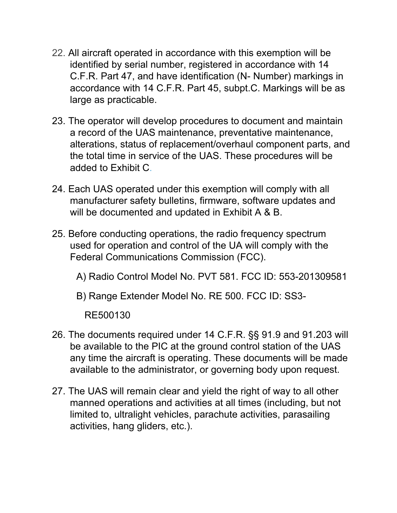- 22. All aircraft operated in accordance with this exemption will be identified by serial number, registered in accordance with 14 C.F.R. Part 47, and have identification (N- Number) markings in accordance with 14 C.F.R. Part 45, subpt.C. Markings will be as large as practicable.
- 23. The operator will develop procedures to document and maintain a record of the UAS maintenance, preventative maintenance, alterations, status of replacement/overhaul component parts, and the total time in service of the UAS. These procedures will be added to Exhibit C.
- 24. Each UAS operated under this exemption will comply with all manufacturer safety bulletins, firmware, software updates and will be documented and updated in Exhibit A & B.
- 25. Before conducting operations, the radio frequency spectrum used for operation and control of the UA will comply with the Federal Communications Commission (FCC).
	- A) Radio Control Model No. PVT 581. FCC ID: 553-201309581
	- B) Range Extender Model No. RE 500. FCC ID: SS3

RE500130

- 26. The documents required under 14 C.F.R. §§ 91.9 and 91.203 will be available to the PIC at the ground control station of the UAS any time the aircraft is operating. These documents will be made available to the administrator, or governing body upon request.
- 27. The UAS will remain clear and yield the right of way to all other manned operations and activities at all times (including, but not limited to, ultralight vehicles, parachute activities, parasailing activities, hang gliders, etc.).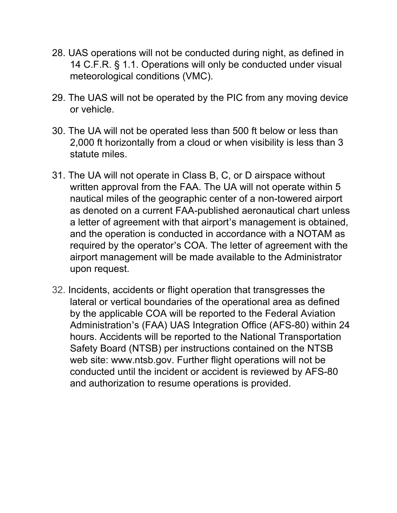- 28. UAS operations will not be conducted during night, as defined in 14 C.F.R. § 1.1. Operations will only be conducted under visual meteorological conditions (VMC).
- 29. The UAS will not be operated by the PIC from any moving device or vehicle.
- 30. The UA will not be operated less than 500 ft below or less than 2,000 ft horizontally from a cloud or when visibility is less than 3 statute miles.
- 31. The UA will not operate in Class B, C, or D airspace without written approval from the FAA. The UA will not operate within 5 nautical miles of the geographic center of a non-towered airport as denoted on a current FAA-published aeronautical chart unless a letter of agreement with that airport's management is obtained, and the operation is conducted in accordance with a NOTAM as required by the operator's COA. The letter of agreement with the airport management will be made available to the Administrator upon request.
- 32. Incidents, accidents or flight operation that transgresses the lateral or vertical boundaries of the operational area as defined by the applicable COA will be reported to the Federal Aviation Administration's (FAA) UAS Integration Office (AFS-80) within 24 hours. Accidents will be reported to the National Transportation Safety Board (NTSB) per instructions contained on the NTSB web site: www.ntsb.gov. Further flight operations will not be conducted until the incident or accident is reviewed by AFS-80 and authorization to resume operations is provided.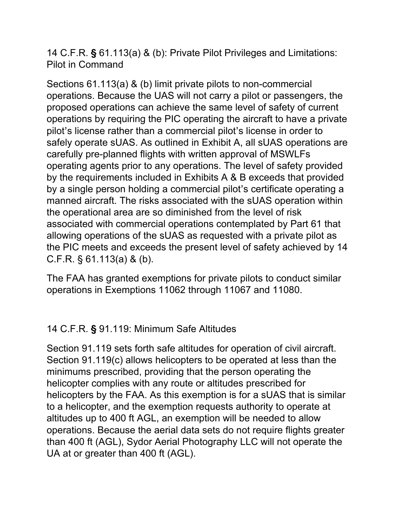14 C.F.R. **§** 61.113(a) & (b): Private Pilot Privileges and Limitations: Pilot in Command

Sections 61.113(a) & (b) limit private pilots to non-commercial operations. Because the UAS will not carry a pilot or passengers, the proposed operations can achieve the same level of safety of current operations by requiring the PIC operating the aircraft to have a private pilot's license rather than a commercial pilot's license in order to safely operate sUAS. As outlined in Exhibit A, all sUAS operations are carefully pre-planned flights with written approval of MSWLFs operating agents prior to any operations. The level of safety provided by the requirements included in Exhibits A & B exceeds that provided by a single person holding a commercial pilot's certificate operating a manned aircraft. The risks associated with the sUAS operation within the operational area are so diminished from the level of risk associated with commercial operations contemplated by Part 61 that allowing operations of the sUAS as requested with a private pilot as the PIC meets and exceeds the present level of safety achieved by 14 C.F.R. § 61.113(a) & (b).

The FAA has granted exemptions for private pilots to conduct similar operations in Exemptions 11062 through 11067 and 11080.

## 14 C.F.R. **§** 91.119: Minimum Safe Altitudes

Section 91.119 sets forth safe altitudes for operation of civil aircraft. Section 91.119(c) allows helicopters to be operated at less than the minimums prescribed, providing that the person operating the helicopter complies with any route or altitudes prescribed for helicopters by the FAA. As this exemption is for a sUAS that is similar to a helicopter, and the exemption requests authority to operate at altitudes up to 400 ft AGL, an exemption will be needed to allow operations. Because the aerial data sets do not require flights greater than 400 ft (AGL), Sydor Aerial Photography LLC will not operate the UA at or greater than 400 ft (AGL).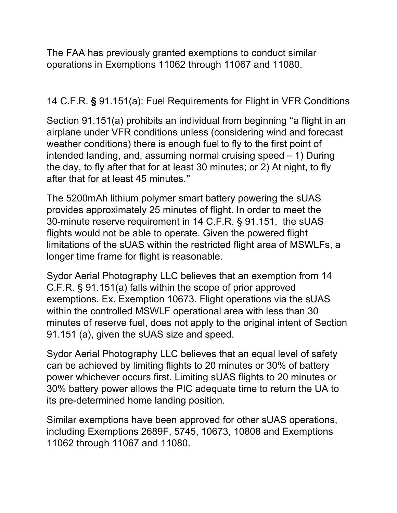The FAA has previously granted exemptions to conduct similar operations in Exemptions 11062 through 11067 and 11080.

14 C.F.R. **§** 91.151(a): Fuel Requirements for Flight in VFR Conditions

Section 91.151(a) prohibits an individual from beginning "a flight in an airplane under VFR conditions unless (considering wind and forecast weather conditions) there is enough fuel to fly to the first point of intended landing, and, assuming normal cruising speed – 1) During the day, to fly after that for at least 30 minutes; or 2) At night, to fly after that for at least 45 minutes."

The 5200mAh lithium polymer smart battery powering the sUAS provides approximately 25 minutes of flight. In order to meet the 30-minute reserve requirement in 14 C.F.R. § 91.151, the sUAS flights would not be able to operate. Given the powered flight limitations of the sUAS within the restricted flight area of MSWLFs, a longer time frame for flight is reasonable.

Sydor Aerial Photography LLC believes that an exemption from 14 C.F.R. § 91.151(a) falls within the scope of prior approved exemptions. Ex. Exemption 10673*.* Flight operations via the sUAS within the controlled MSWLF operational area with less than 30 minutes of reserve fuel, does not apply to the original intent of Section 91.151 (a), given the sUAS size and speed.

Sydor Aerial Photography LLC believes that an equal level of safety can be achieved by limiting flights to 20 minutes or 30% of battery power whichever occurs first. Limiting sUAS flights to 20 minutes or 30% battery power allows the PIC adequate time to return the UA to its pre-determined home landing position.

Similar exemptions have been approved for other sUAS operations, including Exemptions 2689F, 5745, 10673, 10808 and Exemptions 11062 through 11067 and 11080.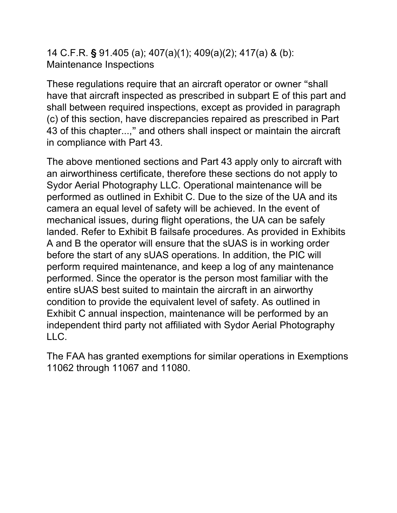14 C.F.R. **§** 91.405 (a); 407(a)(1); 409(a)(2); 417(a) & (b): Maintenance Inspections

These regulations require that an aircraft operator or owner "shall have that aircraft inspected as prescribed in subpart E of this part and shall between required inspections, except as provided in paragraph (c) of this section, have discrepancies repaired as prescribed in Part 43 of this chapter...," and others shall inspect or maintain the aircraft in compliance with Part 43.

The above mentioned sections and Part 43 apply only to aircraft with an airworthiness certificate, therefore these sections do not apply to Sydor Aerial Photography LLC. Operational maintenance will be performed as outlined in Exhibit C. Due to the size of the UA and its camera an equal level of safety will be achieved. In the event of mechanical issues, during flight operations, the UA can be safely landed. Refer to Exhibit B failsafe procedures. As provided in Exhibits A and B the operator will ensure that the sUAS is in working order before the start of any sUAS operations. In addition, the PIC will perform required maintenance, and keep a log of any maintenance performed. Since the operator is the person most familiar with the entire sUAS best suited to maintain the aircraft in an airworthy condition to provide the equivalent level of safety. As outlined in Exhibit C annual inspection, maintenance will be performed by an independent third party not affiliated with Sydor Aerial Photography LLC.

The FAA has granted exemptions for similar operations in Exemptions 11062 through 11067 and 11080.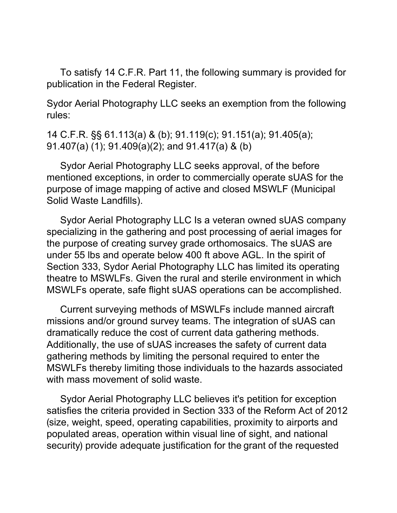To satisfy 14 C.F.R. Part 11, the following summary is provided for publication in the Federal Register.

Sydor Aerial Photography LLC seeks an exemption from the following rules:

14 C.F.R. §§ 61.113(a) & (b); 91.119(c); 91.151(a); 91.405(a); 91.407(a) (1); 91.409(a)(2); and 91.417(a) & (b)

Sydor Aerial Photography LLC seeks approval, of the before mentioned exceptions, in order to commercially operate sUAS for the purpose of image mapping of active and closed MSWLF (Municipal Solid Waste Landfills).

Sydor Aerial Photography LLC Is a veteran owned sUAS company specializing in the gathering and post processing of aerial images for the purpose of creating survey grade orthomosaics. The sUAS are under 55 lbs and operate below 400 ft above AGL. In the spirit of Section 333, Sydor Aerial Photography LLC has limited its operating theatre to MSWLFs. Given the rural and sterile environment in which MSWLFs operate, safe flight sUAS operations can be accomplished.

Current surveying methods of MSWLFs include manned aircraft missions and/or ground survey teams. The integration of sUAS can dramatically reduce the cost of current data gathering methods. Additionally, the use of sUAS increases the safety of current data gathering methods by limiting the personal required to enter the MSWLFs thereby limiting those individuals to the hazards associated with mass movement of solid waste.

Sydor Aerial Photography LLC believes it's petition for exception satisfies the criteria provided in Section 333 of the Reform Act of 2012 (size, weight, speed, operating capabilities, proximity to airports and populated areas, operation within visual line of sight, and national security) provide adequate justification for the grant of the requested